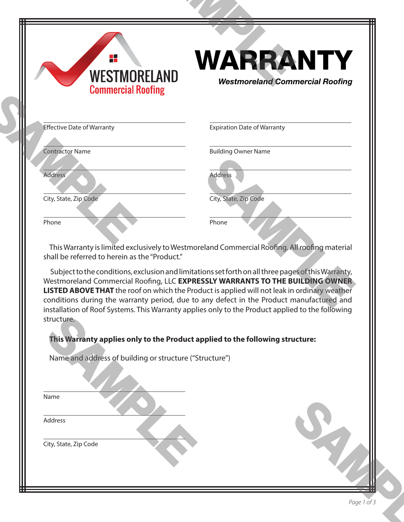| H.<br><b>WESTMORELAND</b><br><b>Commercial Roofing</b>                | <b>WARRANTY</b><br><b>Westmoreland Commercial Roofing</b>                                                                                                                                                                                                                                                                                                                     |
|-----------------------------------------------------------------------|-------------------------------------------------------------------------------------------------------------------------------------------------------------------------------------------------------------------------------------------------------------------------------------------------------------------------------------------------------------------------------|
| <b>Effective Date of Warranty</b>                                     | <b>Expiration Date of Warranty</b>                                                                                                                                                                                                                                                                                                                                            |
| <b>Contractor Name</b>                                                | <b>Building Owner Name</b>                                                                                                                                                                                                                                                                                                                                                    |
| Address                                                               | <b>Address</b>                                                                                                                                                                                                                                                                                                                                                                |
| City, State, Zip Code                                                 | City, State, Zip Code                                                                                                                                                                                                                                                                                                                                                         |
| Phone                                                                 | Phone                                                                                                                                                                                                                                                                                                                                                                         |
|                                                                       | Westmoreland Commercial Roofing, LLC EXPRESSLY WARRANTS TO THE BUILDING OWNER<br>LISTED ABOVE THAT the roof on which the Product is applied will not leak in ordinary weather<br>conditions during the warranty period, due to any defect in the Product manufactured and<br>installation of Roof Systems. This Warranty applies only to the Product applied to the following |
| structure.<br>Name and address of building or structure ("Structure") | This Warranty applies only to the Product applied to the following structure:                                                                                                                                                                                                                                                                                                 |
| Name                                                                  |                                                                                                                                                                                                                                                                                                                                                                               |
| Address                                                               |                                                                                                                                                                                                                                                                                                                                                                               |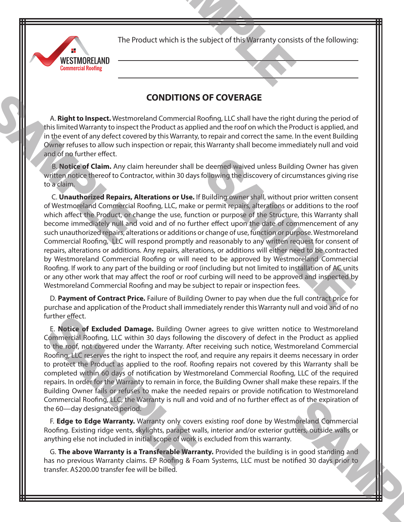The Product which is the subject of this Warranty consists of the following: duct which is the subject of this Warranty consis



## **CONDITIONS OF COVERAGE**

A. **Right to Inspect.** Westmoreland Commercial Roofing, LLC shall have the right during the period of this limited Warranty to inspect the Product as applied and the roof on which the Product is applied, and in the event of any defect covered by this Warranty, to repair and correct the same. In the event Building Owner refuses to allow such inspection or repair, this Warranty shall become immediately null and void and of no further effect.

 B. **Notice of Claim.** Any claim hereunder shall be deemed waived unless Building Owner has given written notice thereof to Contractor, within 30 days following the discovery of circumstances giving rise to a claim.

 C. **Unauthorized Repairs, Alterations or Use.** If Building owner shall, without prior written consent of Westmoreland Commercial Roofing, LLC, make or permit repairs, alterations or additions to the roof which affect the Product, or change the use, function or purpose of the Structure, this Warranty shall become immediately null and void and of no further effect upon the date of commencement of any such unauthorized repairs, alterations or additions or change of use, function or purpose. Westmoreland Commercial Roofing, LLC will respond promptly and reasonably to any written request for consent of repairs, alterations or additions. Any repairs, alterations, or additions will either need to be contracted by Westmoreland Commercial Roofing or will need to be approved by Westmoreland Commercial Roofing. If work to any part of the building or roof (including but not limited to installation of AC units or any other work that may affect the roof or roof curbing will need to be approved and inspected by Westmoreland Commercial Roofing and may be subject to repair or inspection fees. deemed waived unless Building Owner has giver<br>collowing the discovery of circumstances giving rise<br>Building owner shall, without prior written consent<br>permit repairs, alterations or additions to the root<br>on or purpose of t A. **Right to Inspect.** Westmothis limited Warranty to inspect<br>in the event of any defect cover<br>Owner refuses to allow such in:<br>and of no further effect.<br>B. **Notice of Claim.** Any claim<br>written notice thereof to Contra<br>to a

D. **Payment of Contract Price.** Failure of Building Owner to pay when due the full contract price for purchase and application of the Product shall immediately render this Warranty null and void and of no further effect.

E. **Notice of Excluded Damage.** Building Owner agrees to give written notice to Westmoreland Commercial Roofing, LLC within 30 days following the discovery of defect in the Product as applied to the roof, not covered under the Warranty. After receiving such notice, Westmoreland Commercial Roofing, LLC reserves the right to inspect the roof, and require any repairs it deems necessary in order to protect the Product as applied to the roof. Roofing repairs not covered by this Warranty shall be completed within 60 days of notification by Westmoreland Commercial Roofing, LLC of the required repairs. In order for the Warranty to remain in force, the Building Owner shall make these repairs. If the Building Owner fails or refuses to make the needed repairs or provide notification to Westmoreland Commercial Roofing, LLC, the Warranty is null and void and of no further effect as of the expiration of the 60—day designated period. further effect.<br> **E. Notice of Excluded Damage.** Building Owr<br>
Commercial Roofing, LLC within 30 days following<br>
to the roof, not covered under the Warranty. Afte<br>
Roofing, LLC reserves the right to inspect the roof, Ro<br>
c

F. **Edge to Edge Warranty.** Warranty only covers existing roof done by Westmoreland Commercial Roofing. Existing ridge vents, skylights, parapet walls, interior and/or exterior gutters, outside walls or anything else not included in initial scope of work is excluded from this warranty.

G. **The above Warranty is a Transferable Warranty.** Provided the building is in good standing and has no previous Warranty claims. EP Roofing & Foam Systems, LLC must be notified 30 days prior to transfer. A\$200.00 transfer fee will be billed. as of the expiration of<br>
moreland Commercial<br>
itters, outside walls or<br>
in good standing and<br>
tified 30 days prior to